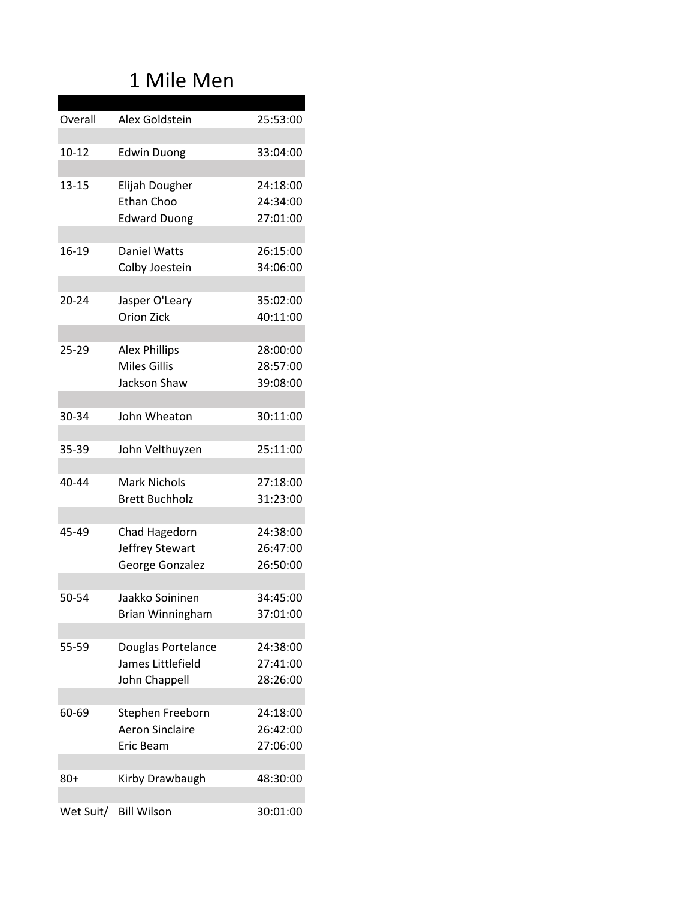# 1 Mile Men

| Overall   | Alex Goldstein                      | 25:53:00 |
|-----------|-------------------------------------|----------|
|           |                                     |          |
| $10 - 12$ | <b>Edwin Duong</b>                  | 33:04:00 |
|           |                                     |          |
| 13-15     | Elijah Dougher                      | 24:18:00 |
|           | <b>Ethan Choo</b>                   | 24:34:00 |
|           | <b>Edward Duong</b>                 | 27:01:00 |
|           |                                     |          |
| 16-19     | <b>Daniel Watts</b>                 | 26:15:00 |
|           | Colby Joestein                      | 34:06:00 |
| $20 - 24$ |                                     | 35:02:00 |
|           | Jasper O'Leary<br><b>Orion Zick</b> | 40:11:00 |
|           |                                     |          |
| $25 - 29$ | <b>Alex Phillips</b>                | 28:00:00 |
|           | <b>Miles Gillis</b>                 | 28:57:00 |
|           | Jackson Shaw                        | 39:08:00 |
|           |                                     |          |
| 30-34     | John Wheaton                        | 30:11:00 |
|           |                                     |          |
| 35-39     | John Velthuyzen                     | 25:11:00 |
|           |                                     |          |
| 40-44     | <b>Mark Nichols</b>                 | 27:18:00 |
|           | <b>Brett Buchholz</b>               | 31:23:00 |
|           |                                     |          |
| 45-49     | Chad Hagedorn                       | 24:38:00 |
|           | Jeffrey Stewart                     | 26:47:00 |
|           | George Gonzalez                     | 26:50:00 |
| 50-54     | Jaakko Soininen                     | 34:45:00 |
|           | Brian Winningham                    | 37:01:00 |
|           |                                     |          |
| 55-59     | Douglas Portelance                  | 24:38:00 |
|           | James Littlefield                   | 27:41:00 |
|           | John Chappell                       | 28:26:00 |
|           |                                     |          |
| 60-69     | Stephen Freeborn                    | 24:18:00 |
|           | <b>Aeron Sinclaire</b>              | 26:42:00 |
|           | Eric Beam                           | 27:06:00 |
|           |                                     |          |
| 80+       | Kirby Drawbaugh                     | 48:30:00 |
|           |                                     |          |
| Wet Suit/ | <b>Bill Wilson</b>                  | 30:01:00 |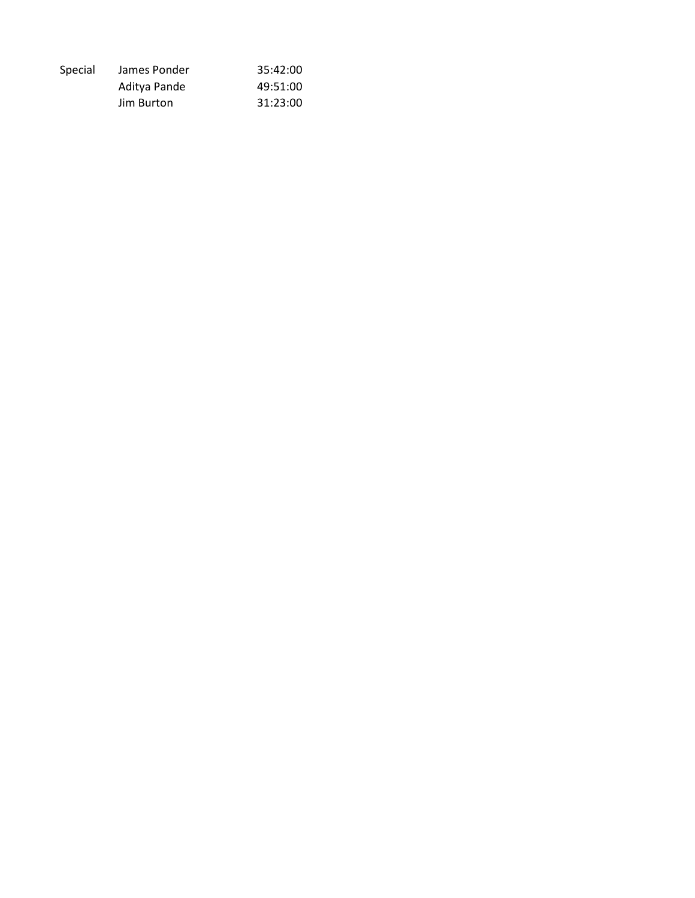| Special | James Ponder | 35:42:00 |
|---------|--------------|----------|
|         | Aditya Pande | 49:51:00 |
|         | Jim Burton   | 31:23:00 |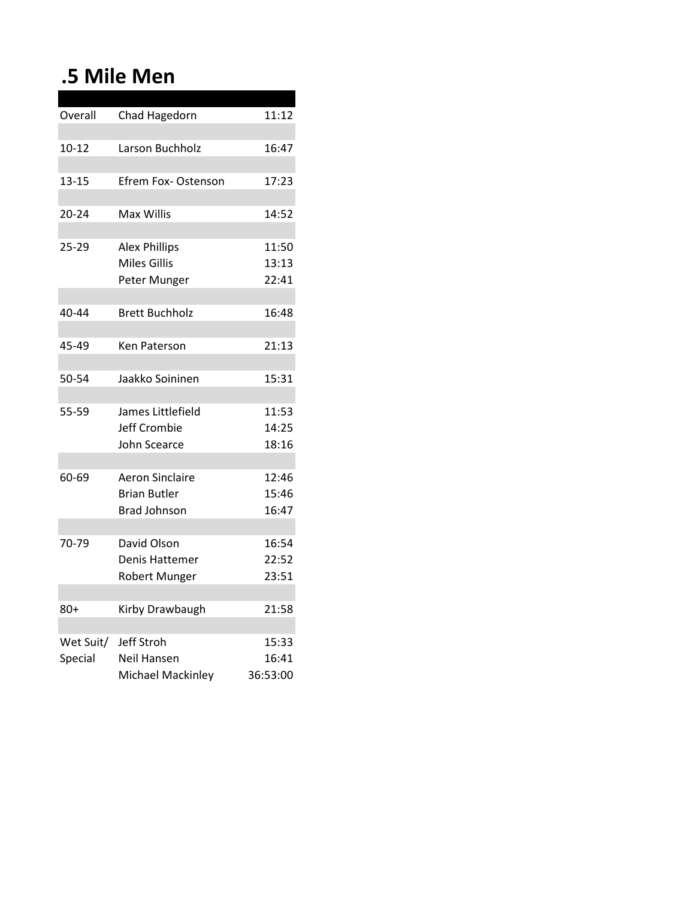# **.5 Mile Men**

| Overall   | Chad Hagedorn            | 11:12    |
|-----------|--------------------------|----------|
|           |                          |          |
| $10 - 12$ | Larson Buchholz          | 16:47    |
|           |                          |          |
| 13-15     | Efrem Fox- Ostenson      | 17:23    |
|           |                          |          |
| 20-24     | Max Willis               | 14:52    |
|           |                          |          |
| 25-29     | <b>Alex Phillips</b>     | 11:50    |
|           | Miles Gillis             | 13:13    |
|           | Peter Munger             | 22:41    |
|           |                          |          |
| 40-44     | <b>Brett Buchholz</b>    | 16:48    |
|           |                          |          |
| 45-49     | Ken Paterson             | 21:13    |
|           |                          |          |
| 50-54     | Jaakko Soininen          | 15:31    |
|           |                          |          |
| 55-59     | James Littlefield        | 11:53    |
|           | Jeff Crombie             | 14:25    |
|           | John Scearce             | 18:16    |
|           |                          |          |
| 60-69     | <b>Aeron Sinclaire</b>   | 12:46    |
|           | <b>Brian Butler</b>      | 15:46    |
|           | <b>Brad Johnson</b>      | 16:47    |
|           |                          |          |
| 70-79     | David Olson              | 16:54    |
|           | Denis Hattemer           | 22:52    |
|           | <b>Robert Munger</b>     | 23:51    |
|           |                          |          |
| 80+       | Kirby Drawbaugh          | 21:58    |
|           |                          |          |
| Wet Suit/ | Jeff Stroh               | 15:33    |
| Special   | Neil Hansen              | 16:41    |
|           | <b>Michael Mackinley</b> | 36:53:00 |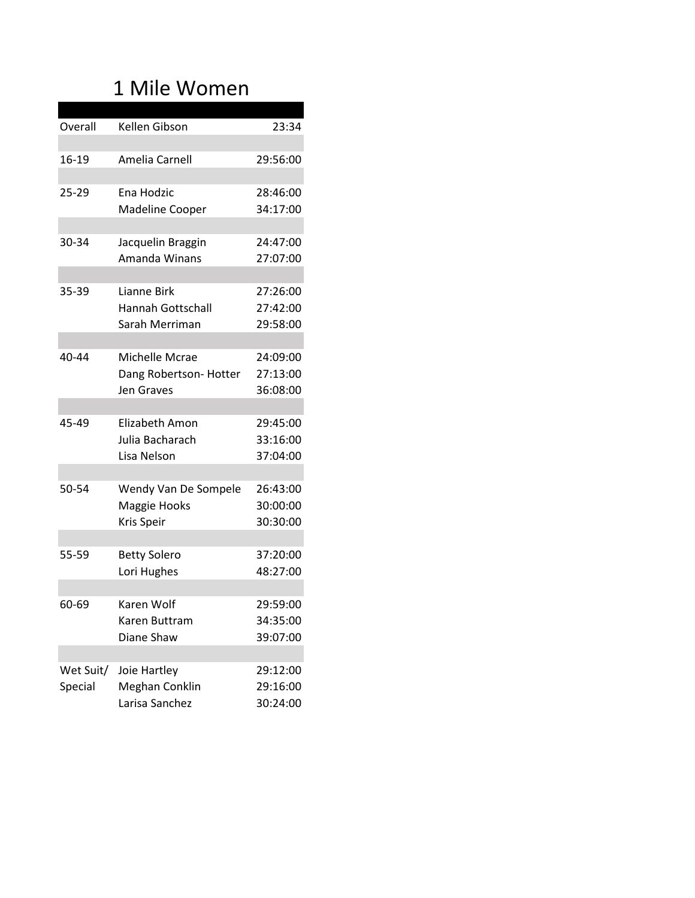### 1 Mile Women

| Amelia Carnell<br>29:56:00<br>16-19<br>25-29<br>Ena Hodzic<br>28:46:00<br>Madeline Cooper<br>34:17:00<br>30-34<br>Jacquelin Braggin<br>24:47:00<br>Amanda Winans<br>27:07:00<br>35-39<br>Lianne Birk<br>27:26:00<br><b>Hannah Gottschall</b><br>27:42:00<br>Sarah Merriman<br>29:58:00<br>40-44<br>Michelle Mcrae<br>24:09:00<br>27:13:00<br>Dang Robertson-Hotter<br>Jen Graves<br>36:08:00<br>45-49<br>Elizabeth Amon<br>29:45:00<br>Julia Bacharach<br>33:16:00<br>Lisa Nelson<br>37:04:00<br>50-54<br>Wendy Van De Sompele<br>26:43:00<br>Maggie Hooks<br>30:00:00<br>Kris Speir<br>30:30:00 |         |               |       |
|--------------------------------------------------------------------------------------------------------------------------------------------------------------------------------------------------------------------------------------------------------------------------------------------------------------------------------------------------------------------------------------------------------------------------------------------------------------------------------------------------------------------------------------------------------------------------------------------------|---------|---------------|-------|
|                                                                                                                                                                                                                                                                                                                                                                                                                                                                                                                                                                                                  | Overall | Kellen Gibson | 23:34 |
|                                                                                                                                                                                                                                                                                                                                                                                                                                                                                                                                                                                                  |         |               |       |
|                                                                                                                                                                                                                                                                                                                                                                                                                                                                                                                                                                                                  |         |               |       |
|                                                                                                                                                                                                                                                                                                                                                                                                                                                                                                                                                                                                  |         |               |       |
|                                                                                                                                                                                                                                                                                                                                                                                                                                                                                                                                                                                                  |         |               |       |
|                                                                                                                                                                                                                                                                                                                                                                                                                                                                                                                                                                                                  |         |               |       |
|                                                                                                                                                                                                                                                                                                                                                                                                                                                                                                                                                                                                  |         |               |       |
|                                                                                                                                                                                                                                                                                                                                                                                                                                                                                                                                                                                                  |         |               |       |
|                                                                                                                                                                                                                                                                                                                                                                                                                                                                                                                                                                                                  |         |               |       |
|                                                                                                                                                                                                                                                                                                                                                                                                                                                                                                                                                                                                  |         |               |       |
|                                                                                                                                                                                                                                                                                                                                                                                                                                                                                                                                                                                                  |         |               |       |
|                                                                                                                                                                                                                                                                                                                                                                                                                                                                                                                                                                                                  |         |               |       |
|                                                                                                                                                                                                                                                                                                                                                                                                                                                                                                                                                                                                  |         |               |       |
|                                                                                                                                                                                                                                                                                                                                                                                                                                                                                                                                                                                                  |         |               |       |
|                                                                                                                                                                                                                                                                                                                                                                                                                                                                                                                                                                                                  |         |               |       |
|                                                                                                                                                                                                                                                                                                                                                                                                                                                                                                                                                                                                  |         |               |       |
|                                                                                                                                                                                                                                                                                                                                                                                                                                                                                                                                                                                                  |         |               |       |
|                                                                                                                                                                                                                                                                                                                                                                                                                                                                                                                                                                                                  |         |               |       |
|                                                                                                                                                                                                                                                                                                                                                                                                                                                                                                                                                                                                  |         |               |       |
|                                                                                                                                                                                                                                                                                                                                                                                                                                                                                                                                                                                                  |         |               |       |
|                                                                                                                                                                                                                                                                                                                                                                                                                                                                                                                                                                                                  |         |               |       |
|                                                                                                                                                                                                                                                                                                                                                                                                                                                                                                                                                                                                  |         |               |       |
|                                                                                                                                                                                                                                                                                                                                                                                                                                                                                                                                                                                                  |         |               |       |
|                                                                                                                                                                                                                                                                                                                                                                                                                                                                                                                                                                                                  |         |               |       |
|                                                                                                                                                                                                                                                                                                                                                                                                                                                                                                                                                                                                  |         |               |       |
| 55-59<br>37:20:00<br><b>Betty Solero</b>                                                                                                                                                                                                                                                                                                                                                                                                                                                                                                                                                         |         |               |       |
| Lori Hughes<br>48:27:00                                                                                                                                                                                                                                                                                                                                                                                                                                                                                                                                                                          |         |               |       |
| Karen Wolf                                                                                                                                                                                                                                                                                                                                                                                                                                                                                                                                                                                       |         |               |       |
| 60-69<br>29:59:00<br>Karen Buttram                                                                                                                                                                                                                                                                                                                                                                                                                                                                                                                                                               |         |               |       |
| 34:35:00<br>Diane Shaw<br>39:07:00                                                                                                                                                                                                                                                                                                                                                                                                                                                                                                                                                               |         |               |       |
|                                                                                                                                                                                                                                                                                                                                                                                                                                                                                                                                                                                                  |         |               |       |
| Wet Suit/<br>Joie Hartley<br>29:12:00                                                                                                                                                                                                                                                                                                                                                                                                                                                                                                                                                            |         |               |       |
| Special<br>Meghan Conklin<br>29:16:00                                                                                                                                                                                                                                                                                                                                                                                                                                                                                                                                                            |         |               |       |
| Larisa Sanchez<br>30:24:00                                                                                                                                                                                                                                                                                                                                                                                                                                                                                                                                                                       |         |               |       |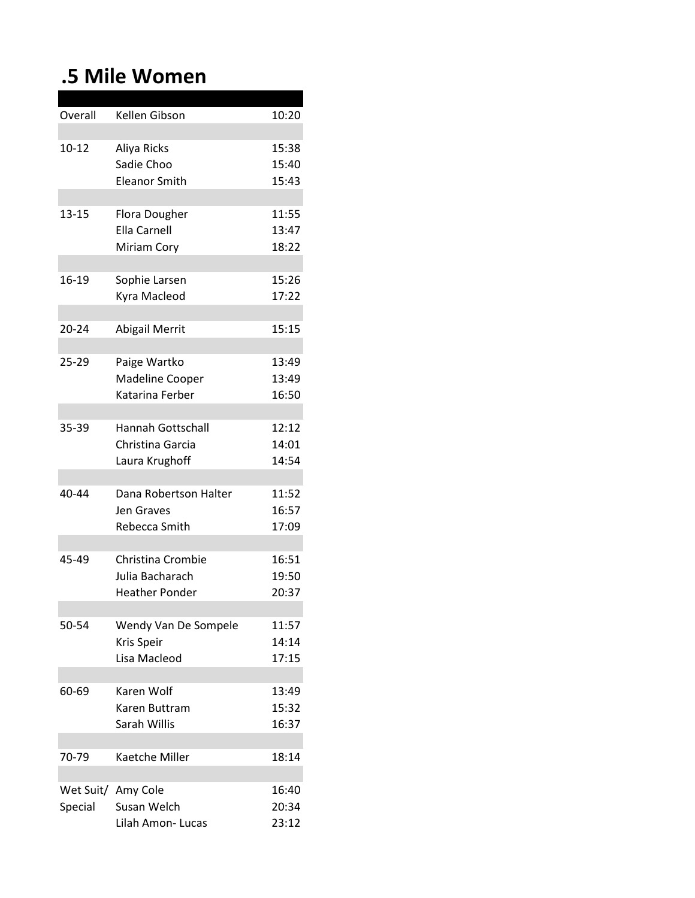### **.5 Mile Women**

| Overall   | Kellen Gibson            | 10:20 |
|-----------|--------------------------|-------|
|           |                          |       |
| $10 - 12$ | Aliya Ricks              | 15:38 |
|           | Sadie Choo               | 15:40 |
|           | <b>Eleanor Smith</b>     | 15:43 |
|           |                          |       |
| $13 - 15$ | <b>Flora Dougher</b>     | 11:55 |
|           | <b>Ella Carnell</b>      | 13:47 |
|           |                          | 18:22 |
|           | Miriam Cory              |       |
|           |                          |       |
| 16-19     | Sophie Larsen            | 15:26 |
|           | Kyra Macleod             | 17:22 |
|           |                          |       |
| $20 - 24$ | <b>Abigail Merrit</b>    | 15:15 |
|           |                          |       |
| 25-29     | Paige Wartko             | 13:49 |
|           | Madeline Cooper          | 13:49 |
|           | Katarina Ferber          | 16:50 |
|           |                          |       |
| 35-39     | <b>Hannah Gottschall</b> | 12:12 |
|           | Christina Garcia         | 14:01 |
|           | Laura Krughoff           | 14:54 |
|           |                          |       |
| 40-44     | Dana Robertson Halter    | 11:52 |
|           | <b>Jen Graves</b>        | 16:57 |
|           | Rebecca Smith            | 17:09 |
|           |                          |       |
| 45-49     | Christina Crombie        |       |
|           | Julia Bacharach          | 16:51 |
|           |                          | 19:50 |
|           | <b>Heather Ponder</b>    | 20:37 |
|           |                          |       |
| 50-54     | Wendy Van De Sompele     | 11:57 |
|           | Kris Speir               | 14:14 |
|           | Lisa Macleod             | 17:15 |
|           |                          |       |
| 60-69     | Karen Wolf               | 13:49 |
|           | Karen Buttram            | 15:32 |
|           | Sarah Willis             | 16:37 |
|           |                          |       |
| 70-79     | Kaetche Miller           | 18:14 |
|           |                          |       |
|           | Wet Suit/ Amy Cole       | 16:40 |
| Special   | Susan Welch              | 20:34 |
|           | Lilah Amon- Lucas        | 23:12 |
|           |                          |       |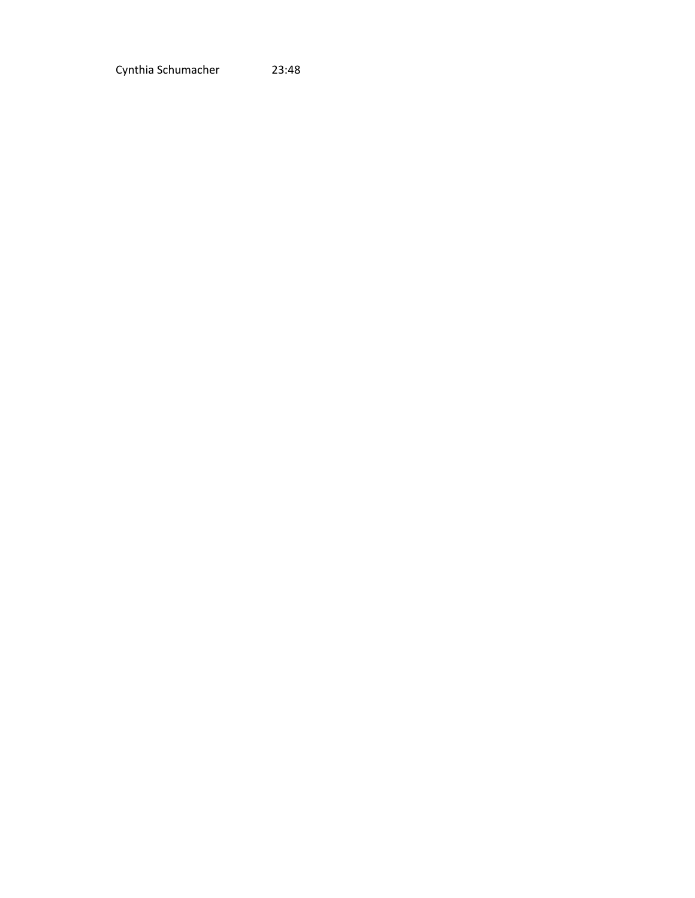Cynthia Schumacher 23:48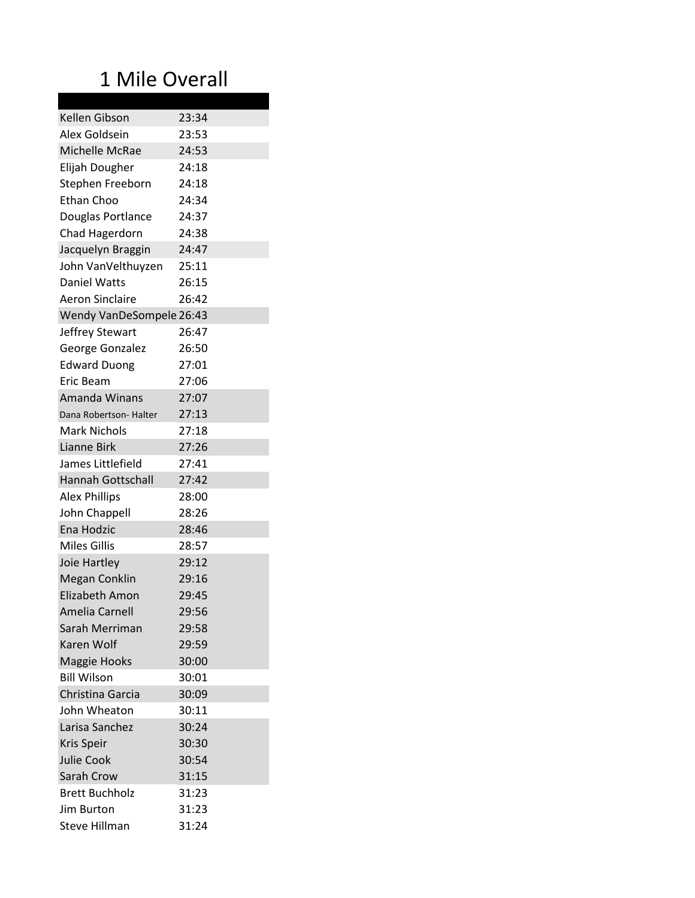# 1 Mile Overall

| Kellen Gibson            | 23:34 |
|--------------------------|-------|
| Alex Goldsein            | 23:53 |
| Michelle McRae           | 24:53 |
| Elijah Dougher           | 24:18 |
| Stephen Freeborn         | 24:18 |
| Ethan Choo               | 24:34 |
| Douglas Portlance        | 24:37 |
| Chad Hagerdorn           | 24:38 |
| Jacquelyn Braggin        | 24:47 |
| John VanVelthuyzen       | 25:11 |
| Daniel Watts             | 26:15 |
| <b>Aeron Sinclaire</b>   | 26:42 |
| Wendy VanDeSompele 26:43 |       |
| Jeffrey Stewart          | 26:47 |
| George Gonzalez          | 26:50 |
| <b>Edward Duong</b>      | 27:01 |
| Eric Beam                | 27:06 |
| Amanda Winans            | 27:07 |
| Dana Robertson- Halter   | 27:13 |
| Mark Nichols             | 27:18 |
| Lianne Birk              | 27:26 |
| James Littlefield        | 27:41 |
| <b>Hannah Gottschall</b> | 27:42 |
| <b>Alex Phillips</b>     | 28:00 |
| John Chappell            | 28:26 |
| Ena Hodzic               | 28:46 |
| <b>Miles Gillis</b>      | 28:57 |
| Joie Hartley             | 29:12 |
| <b>Megan Conklin</b>     | 29:16 |
| Elizabeth Amon           | 29:45 |
| Amelia Carnell           | 29:56 |
| Sarah Merriman           | 29:58 |
| Karen Wolf               | 29:59 |
| <b>Maggie Hooks</b>      | 30:00 |
| <b>Bill Wilson</b>       | 30:01 |
| Christina Garcia         | 30:09 |
| John Wheaton             | 30:11 |
| Larisa Sanchez           | 30:24 |
|                          | 30:30 |
| Kris Speir               |       |
| <b>Julie Cook</b>        | 30:54 |
| Sarah Crow               | 31:15 |
| <b>Brett Buchholz</b>    | 31:23 |
| Jim Burton               | 31:23 |
| Steve Hillman            | 31:24 |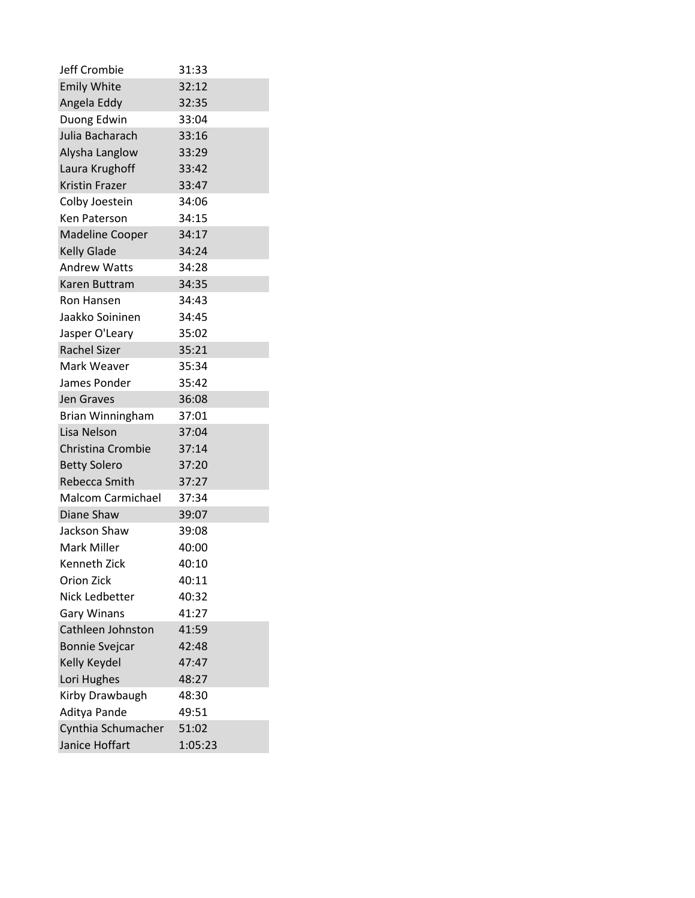| <b>Jeff Crombie</b>      | 31:33   |
|--------------------------|---------|
| <b>Emily White</b>       | 32:12   |
| Angela Eddy              | 32:35   |
| Duong Edwin              | 33:04   |
| Julia Bacharach          | 33:16   |
| Alysha Langlow           | 33:29   |
| Laura Krughoff           | 33:42   |
| <b>Kristin Frazer</b>    | 33:47   |
| Colby Joestein           | 34:06   |
| <b>Ken Paterson</b>      | 34:15   |
| <b>Madeline Cooper</b>   | 34:17   |
| <b>Kelly Glade</b>       | 34:24   |
| <b>Andrew Watts</b>      | 34:28   |
| Karen Buttram            | 34:35   |
| Ron Hansen               | 34:43   |
| Jaakko Soininen          | 34:45   |
| Jasper O'Leary           | 35:02   |
| <b>Rachel Sizer</b>      | 35:21   |
| Mark Weaver              | 35:34   |
| James Ponder             | 35:42   |
| <b>Jen Graves</b>        | 36:08   |
| Brian Winningham         | 37:01   |
| Lisa Nelson              | 37:04   |
| Christina Crombie        | 37:14   |
| <b>Betty Solero</b>      | 37:20   |
| Rebecca Smith            | 37:27   |
| <b>Malcom Carmichael</b> | 37:34   |
| Diane Shaw               | 39:07   |
| Jackson Shaw             | 39:08   |
| <b>Mark Miller</b>       | 40:00   |
| Kenneth Zick             | 40:10   |
| <b>Orion Zick</b>        | 40:11   |
| Nick Ledbetter           | 40:32   |
| <b>Gary Winans</b>       | 41:27   |
| Cathleen Johnston        | 41:59   |
| <b>Bonnie Svejcar</b>    | 42:48   |
| Kelly Keydel             | 47:47   |
| Lori Hughes              | 48:27   |
| Kirby Drawbaugh          | 48:30   |
| Aditya Pande             | 49:51   |
| Cynthia Schumacher       | 51:02   |
| Janice Hoffart           | 1:05:23 |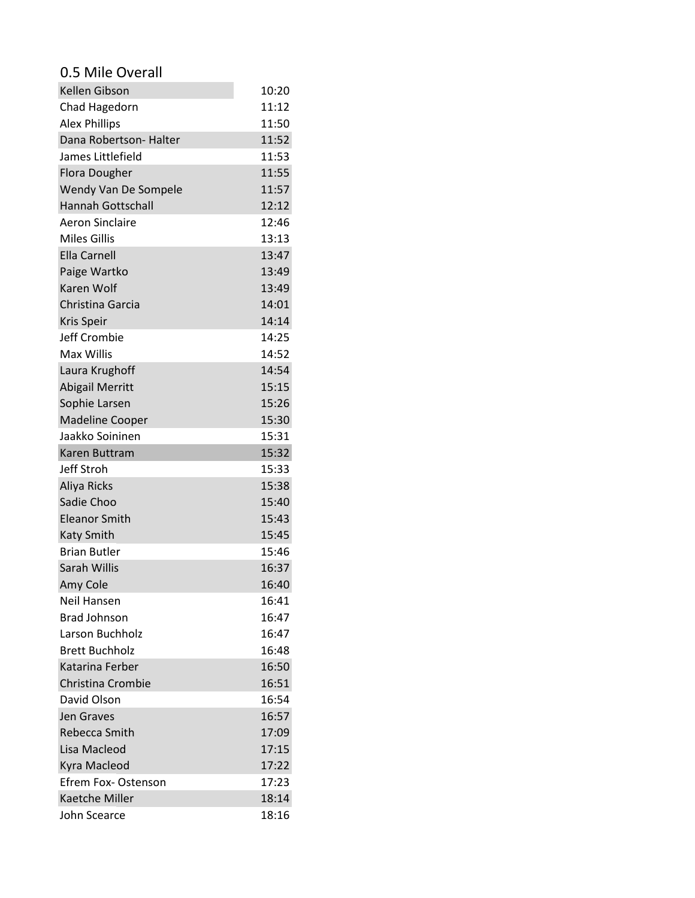#### 0.5 Mile Overall

| Kellen Gibson            | 10:20 |
|--------------------------|-------|
| Chad Hagedorn            | 11:12 |
| <b>Alex Phillips</b>     | 11:50 |
| Dana Robertson- Halter   | 11:52 |
| James Littlefield        | 11:53 |
| <b>Flora Dougher</b>     | 11:55 |
| Wendy Van De Sompele     | 11:57 |
| <b>Hannah Gottschall</b> | 12:12 |
| <b>Aeron Sinclaire</b>   | 12:46 |
| <b>Miles Gillis</b>      | 13:13 |
| <b>Ella Carnell</b>      | 13:47 |
| Paige Wartko             | 13:49 |
| <b>Karen Wolf</b>        | 13:49 |
| Christina Garcia         | 14:01 |
| <b>Kris Speir</b>        | 14:14 |
| Jeff Crombie             | 14:25 |
| <b>Max Willis</b>        | 14:52 |
| Laura Krughoff           | 14:54 |
| <b>Abigail Merritt</b>   | 15:15 |
| Sophie Larsen            | 15:26 |
| <b>Madeline Cooper</b>   | 15:30 |
| Jaakko Soininen          | 15:31 |
| Karen Buttram            | 15:32 |
| Jeff Stroh               | 15:33 |
| Aliya Ricks              | 15:38 |
| Sadie Choo               | 15:40 |
| <b>Eleanor Smith</b>     | 15:43 |
| <b>Katy Smith</b>        | 15:45 |
| <b>Brian Butler</b>      | 15:46 |
| Sarah Willis             | 16:37 |
| Amy Cole                 | 16:40 |
| Neil Hansen              | 16:41 |
| <b>Brad Johnson</b>      | 16:47 |
| <b>Larson Buchholz</b>   | 16:47 |
| <b>Brett Buchholz</b>    | 16:48 |
| Katarina Ferber          | 16:50 |
| Christina Crombie        | 16:51 |
| David Olson              | 16:54 |
| Jen Graves               | 16:57 |
| Rebecca Smith            | 17:09 |
| Lisa Macleod             | 17:15 |
| Kyra Macleod             | 17:22 |
| Efrem Fox- Ostenson      | 17:23 |
| Kaetche Miller           | 18:14 |
| John Scearce             | 18:16 |